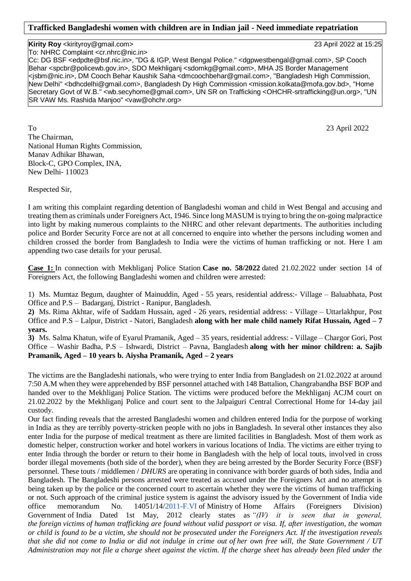## **Kirity Roy** <kirityroy@gmail.com> 23 April 2022 at 15:25

To: NHRC Complaint <cr.nhrc@nic.in>

Cc: DG BSF <edpdte@bsf.nic.in>, "DG & IGP, West Bengal Police." <dgpwestbengal@gmail.com>, SP Cooch Behar <spcbr@policewb.gov.in>, SDO Mekhliganj <sdomkg@gmail.com>, MHA JS Border Management <jsbm@nic.in>, DM Cooch Behar Kaushik Saha <dmcoochbehar@gmail.com>, "Bangladesh High Commission, New Delhi" <bdhcdelhi@gmail.com>, Bangladesh Dy High Commission <mission.kolkata@mofa.gov.bd>, "Home Secretary Govt of W.B." <wb.secyhome@gmail.com>, UN SR on Trafficking <OHCHR-srtrafficking@un.org>, "UN SR VAW Ms. Rashida Manjoo" <vaw@ohchr.org>

To 23 April 2022 The Chairman, National Human Rights Commission, Manav Adhikar Bhawan, Block-C, GPO Complex, INA, New Delhi- 110023

Respected Sir,

I am writing this complaint regarding detention of Bangladeshi woman and child in West Bengal and accusing and treating them as criminals under Foreigners Act, 1946. Since long MASUM is trying to bring the on-going malpractice into light by making numerous complaints to the NHRC and other relevant departments. The authorities including police and Border Security Force are not at all concerned to enquire into whether the persons including women and children crossed the border from Bangladesh to India were the victims of human trafficking or not. Here I am appending two case details for your perusal.

**Case 1:** In connection with Mekhliganj Police Station **Case no. 58/2022** dated 21.02.2022 under section 14 of Foreigners Act, the following Bangladeshi women and children were arrested:

1) Ms. Mumtaz Begum, daughter of Mainuddin, Aged - 55 years, residential address:- Village – Baluabhata, Post Office and P.S – Badarganj, District - Ranipur, Bangladesh.

**2)** Ms. Rima Akhtar, wife of Saddam Hussain, aged - 26 years, residential address: - Village – Uttarlakhpur, Post Office and P.S – Lalpur, District - Natori, Bangladesh **along with her male child namely Rifat Hussain, Aged – 7 years.**

**3)** Ms. Salma Khatun, wife of Eyarul Pramanik, Aged – 35 years, residential address: - Village – Chargor Gori, Post Office – Washir Badha, P.S – Ishwardi, District – Pavna, Bangladesh **along with her minor children: a. Sajib Pramanik, Aged – 10 years b. Aiysha Pramanik, Aged – 2 years**

The victims are the Bangladeshi nationals, who were trying to enter India from Bangladesh on 21.02.2022 at around 7:50 A.M when they were apprehended by BSF personnel attached with 148 Battalion, Changrabandha BSF BOP and handed over to the Mekhliganj Police Station. The victims were produced before the Mekhliganj ACJM court on 21.02.2022 by the Mekhliganj Police and court sent to the Jalpaiguri Central Correctional Home for 14-day jail custody.

Our fact finding reveals that the arrested Bangladeshi women and children entered India for the purpose of working in India as they are terribly poverty-stricken people with no jobs in Bangladesh. In several other instances they also enter India for the purpose of medical treatment as there are limited facilities in Bangladesh. Most of them work as domestic helper, construction worker and hotel workers in various locations of India. The victims are either trying to enter India through the border or return to their home in Bangladesh with the help of local touts, involved in cross border illegal movements (both side of the border), when they are being arrested by the Border Security Force (BSF) personnel. These touts / middlemen / *DHURS* are operating in connivance with border guards of both sides, India and Bangladesh. The Bangladeshi persons arrested were treated as accused under the Foreigners Act and no attempt is being taken up by the police or the concerned court to ascertain whether they were the victims of human trafficking or not. Such approach of the criminal justice system is against the advisory issued by the Government of India vide office memorandum No. 14051/14[/2011-F.VI](http://2011-f.vi/) of Ministry of Home Affairs (Foreigners Division) Government of India Dated 1st May, 2012 clearly states as *"(IV) it is seen that in general, the foreign victims of human trafficking are found without valid passport or visa. If, after investigation, the woman or child is found to be a victim, she should not be prosecuted under the Foreigners Act. If the investigation reveals that she did not come to India or did not indulge in crime out of her own free will, the State Government / UT Administration may not file a charge sheet against the victim. If the charge sheet has already been filed under the*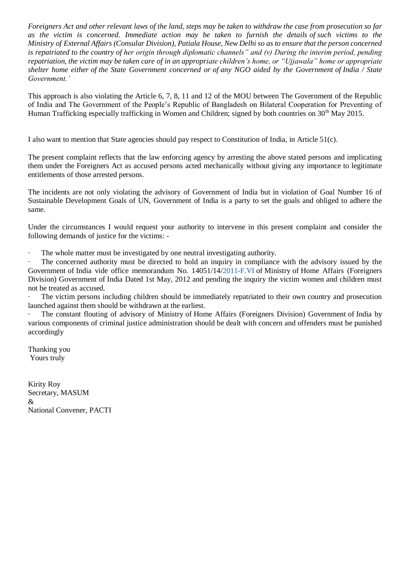*Foreigners Act and other relevant laws of the land, steps may be taken to withdraw the case from prosecution so far as the victim is concerned. Immediate action may be taken to furnish the details of such victims to the Ministry of External Affairs (Consular Division), Patiala House, New Delhi so as to ensure that the person concerned is repatriated to the country of her origin through diplomatic channels" and (v) During the interim period, pending repatriation, the victim may be taken care of in an appropriate children's home, or "Ujjawala" home or appropriate shelter home either of the State Government concerned or of any NGO aided by the Government of India / State Government.'*

This approach is also violating the Article 6, 7, 8, 11 and 12 of the MOU between The Government of the Republic of India and The Government of the People's Republic of Bangladesh on Bilateral Cooperation for Preventing of Human Trafficking especially trafficking in Women and Children; signed by both countries on 30<sup>th</sup> May 2015.

I also want to mention that State agencies should pay respect to Constitution of India, in Article 51(c).

The present complaint reflects that the law enforcing agency by arresting the above stated persons and implicating them under the Foreigners Act as accused persons acted mechanically without giving any importance to legitimate entitlements of those arrested persons.

The incidents are not only violating the advisory of Government of India but in violation of Goal Number 16 of Sustainable Development Goals of UN, Government of India is a party to set the goals and obliged to adhere the same.

Under the circumstances I would request your authority to intervene in this present complaint and consider the following demands of justice for the victims: -

· The whole matter must be investigated by one neutral investigating authority.

The concerned authority must be directed to hold an inquiry in compliance with the advisory issued by the Government of India vide office memorandum No. 14051/14[/2011-F.VI](http://2011-f.vi/) of Ministry of Home Affairs (Foreigners Division) Government of India Dated 1st May, 2012 and pending the inquiry the victim women and children must not be treated as accused.

The victim persons including children should be immediately repatriated to their own country and prosecution launched against them should be withdrawn at the earliest.

The constant flouting of advisory of Ministry of Home Affairs (Foreigners Division) Government of India by various components of criminal justice administration should be dealt with concern and offenders must be punished accordingly

Thanking you Yours truly

Kirity Roy Secretary, MASUM & National Convener, PACTI